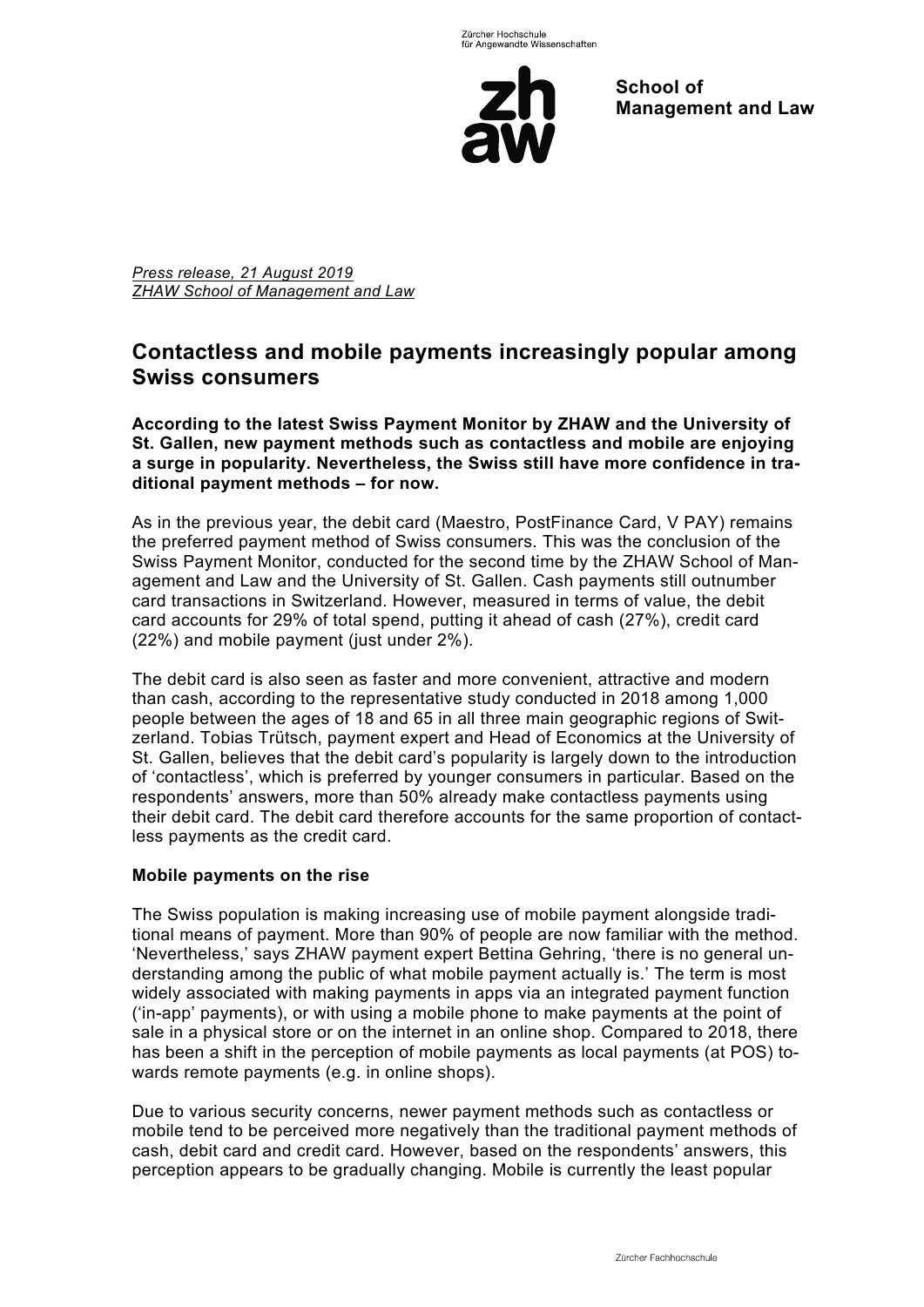

**School of Management and Law** 

*Press release, 21 August 2019 ZHAW School of Management and Law* 

# **Contactless and mobile payments increasingly popular among Swiss consumers**

**According to the latest Swiss Payment Monitor by ZHAW and the University of St. Gallen, new payment methods such as contactless and mobile are enjoying a surge in popularity. Nevertheless, the Swiss still have more confidence in traditional payment methods – for now.** 

As in the previous year, the debit card (Maestro, PostFinance Card, V PAY) remains the preferred payment method of Swiss consumers. This was the conclusion of the Swiss Payment Monitor, conducted for the second time by the ZHAW School of Management and Law and the University of St. Gallen. Cash payments still outnumber card transactions in Switzerland. However, measured in terms of value, the debit card accounts for 29% of total spend, putting it ahead of cash (27%), credit card (22%) and mobile payment (just under 2%).

The debit card is also seen as faster and more convenient, attractive and modern than cash, according to the representative study conducted in 2018 among 1,000 people between the ages of 18 and 65 in all three main geographic regions of Switzerland. Tobias Trütsch, payment expert and Head of Economics at the University of St. Gallen, believes that the debit card's popularity is largely down to the introduction of 'contactless', which is preferred by younger consumers in particular. Based on the respondents' answers, more than 50% already make contactless payments using their debit card. The debit card therefore accounts for the same proportion of contactless payments as the credit card.

## **Mobile payments on the rise**

The Swiss population is making increasing use of mobile payment alongside traditional means of payment. More than 90% of people are now familiar with the method. 'Nevertheless,' says ZHAW payment expert Bettina Gehring, 'there is no general understanding among the public of what mobile payment actually is.' The term is most widely associated with making payments in apps via an integrated payment function ('in-app' payments), or with using a mobile phone to make payments at the point of sale in a physical store or on the internet in an online shop. Compared to 2018, there has been a shift in the perception of mobile payments as local payments (at POS) towards remote payments (e.g. in online shops).

Due to various security concerns, newer payment methods such as contactless or mobile tend to be perceived more negatively than the traditional payment methods of cash, debit card and credit card. However, based on the respondents' answers, this perception appears to be gradually changing. Mobile is currently the least popular